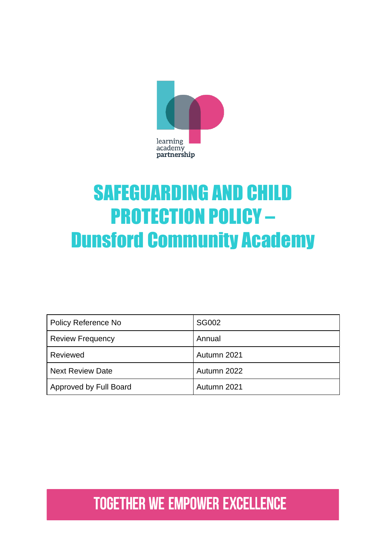

# SAFEGUARDING AND CHILD PROTECTION POLICY – Dunsford Community Academy

| Policy Reference No     | <b>SG002</b> |
|-------------------------|--------------|
| <b>Review Frequency</b> | Annual       |
| Reviewed                | Autumn 2021  |
| <b>Next Review Date</b> | Autumn 2022  |
| Approved by Full Board  | Autumn 2021  |

**TOGETHER WE EMPOWER EXCELLENCE**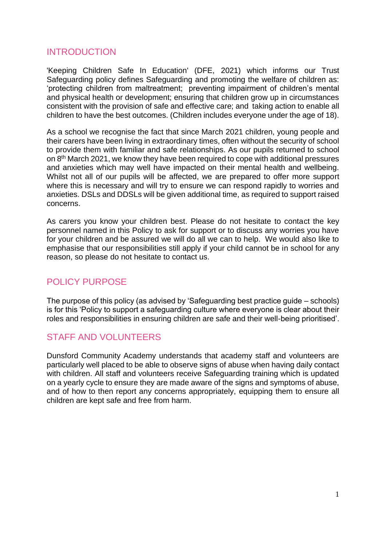# INTRODUCTION

'Keeping Children Safe In Education' (DFE, 2021) which informs our Trust Safeguarding policy defines Safeguarding and promoting the welfare of children as: 'protecting children from maltreatment; preventing impairment of children's mental and physical health or development; ensuring that children grow up in circumstances consistent with the provision of safe and effective care; and taking action to enable all children to have the best outcomes. (Children includes everyone under the age of 18).

As a school we recognise the fact that since March 2021 children, young people and their carers have been living in extraordinary times, often without the security of school to provide them with familiar and safe relationships. As our pupils returned to school on 8<sup>th</sup> March 2021, we know they have been required to cope with additional pressures and anxieties which may well have impacted on their mental health and wellbeing. Whilst not all of our pupils will be affected, we are prepared to offer more support where this is necessary and will try to ensure we can respond rapidly to worries and anxieties. DSLs and DDSLs will be given additional time, as required to support raised concerns.

As carers you know your children best. Please do not hesitate to contact the key personnel named in this Policy to ask for support or to discuss any worries you have for your children and be assured we will do all we can to help. We would also like to emphasise that our responsibilities still apply if your child cannot be in school for any reason, so please do not hesitate to contact us.

# POLICY PURPOSE

The purpose of this policy (as advised by 'Safeguarding best practice guide – schools) is for this 'Policy to support a safeguarding culture where everyone is clear about their roles and responsibilities in ensuring children are safe and their well-being prioritised'.

# STAFF AND VOLUNTEERS

Dunsford Community Academy understands that academy staff and volunteers are particularly well placed to be able to observe signs of abuse when having daily contact with children. All staff and volunteers receive Safeguarding training which is updated on a yearly cycle to ensure they are made aware of the signs and symptoms of abuse, and of how to then report any concerns appropriately, equipping them to ensure all children are kept safe and free from harm.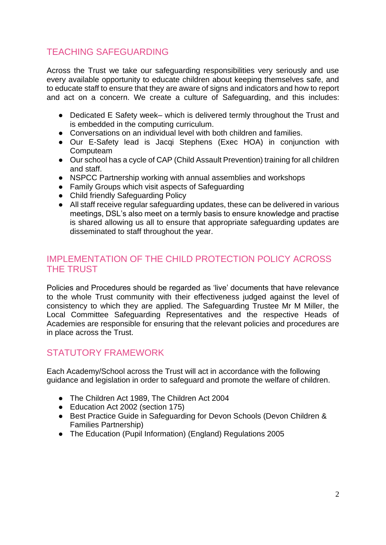# TEACHING SAFEGUARDING

Across the Trust we take our safeguarding responsibilities very seriously and use every available opportunity to educate children about keeping themselves safe, and to educate staff to ensure that they are aware of signs and indicators and how to report and act on a concern. We create a culture of Safeguarding, and this includes:

- Dedicated E Safety week– which is delivered termly throughout the Trust and is embedded in the computing curriculum.
- Conversations on an individual level with both children and families.
- Our E-Safety lead is Jacqi Stephens (Exec HOA) in conjunction with Computeam
- Our school has a cycle of CAP (Child Assault Prevention) training for all children and staff.
- NSPCC Partnership working with annual assemblies and workshops
- Family Groups which visit aspects of Safeguarding
- Child friendly Safeguarding Policy
- All staff receive regular safeguarding updates, these can be delivered in various meetings, DSL's also meet on a termly basis to ensure knowledge and practise is shared allowing us all to ensure that appropriate safeguarding updates are disseminated to staff throughout the year.

# IMPLEMENTATION OF THE CHILD PROTECTION POLICY ACROSS THE TRUST

Policies and Procedures should be regarded as 'live' documents that have relevance to the whole Trust community with their effectiveness judged against the level of consistency to which they are applied. The Safeguarding Trustee Mr M Miller, the Local Committee Safeguarding Representatives and the respective Heads of Academies are responsible for ensuring that the relevant policies and procedures are in place across the Trust.

## STATUTORY FRAMEWORK

Each Academy/School across the Trust will act in accordance with the following guidance and legislation in order to safeguard and promote the welfare of children.

- The Children Act 1989, The Children Act 2004
- Education Act 2002 (section 175)
- Best Practice Guide in Safeguarding for Devon Schools (Devon Children & Families Partnership)
- The Education (Pupil Information) (England) Regulations 2005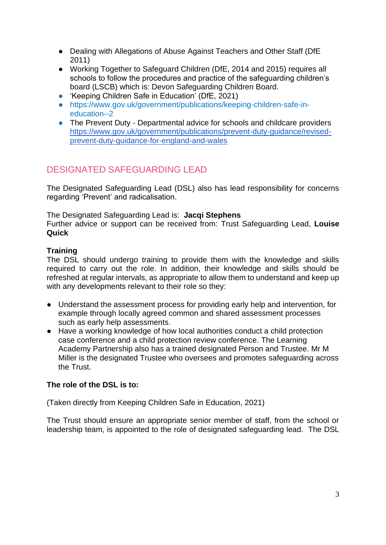- Dealing with Allegations of Abuse Against Teachers and Other Staff (DfE 2011)
- Working Together to Safeguard Children (DfE, 2014 and 2015) requires all schools to follow the procedures and practice of the safeguarding children's board (LSCB) which is: Devon Safeguarding Children Board.
- 'Keeping Children Safe in Education' (DfE, 2021)
- https://www.gov.uk/government/publications/keeping-children-safe-ineducation--2
- The Prevent Duty Departmental advice for schools and childcare providers [https://www.gov.uk/government/publications/prevent-duty-guidance/revised](https://www.gov.uk/government/publications/prevent-duty-guidance/revised-prevent-duty-guidance-for-england-and-wales)[prevent-duty-guidance-for-england-and-wales](https://www.gov.uk/government/publications/prevent-duty-guidance/revised-prevent-duty-guidance-for-england-and-wales)

# DESIGNATED SAFEGUARDING LEAD

The Designated Safeguarding Lead (DSL) also has lead responsibility for concerns regarding 'Prevent' and radicalisation.

The Designated Safeguarding Lead is: **Jacqi Stephens**

Further advice or support can be received from: Trust Safeguarding Lead, **Louise Quick**

## **Training**

The DSL should undergo training to provide them with the knowledge and skills required to carry out the role. In addition, their knowledge and skills should be refreshed at regular intervals, as appropriate to allow them to understand and keep up with any developments relevant to their role so they:

- Understand the assessment process for providing early help and intervention, for example through locally agreed common and shared assessment processes such as early help assessments.
- Have a working knowledge of how local authorities conduct a child protection case conference and a child protection review conference. The Learning Academy Partnership also has a trained designated Person and Trustee. Mr M Miller is the designated Trustee who oversees and promotes safeguarding across the Trust.

## **The role of the DSL is to:**

(Taken directly from Keeping Children Safe in Education, 2021)

The Trust should ensure an appropriate senior member of staff, from the school or leadership team, is appointed to the role of designated safeguarding lead. The DSL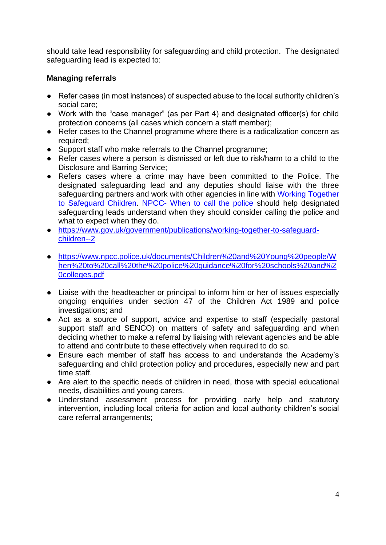should take lead responsibility for safeguarding and child protection. The designated safeguarding lead is expected to:

## **Managing referrals**

- Refer cases (in most instances) of suspected abuse to the local authority children's social care;
- Work with the "case manager" (as per Part 4) and designated officer(s) for child protection concerns (all cases which concern a staff member);
- Refer cases to the Channel programme where there is a radicalization concern as required;
- Support staff who make referrals to the Channel programme;
- Refer cases where a person is dismissed or left due to risk/harm to a child to the Disclosure and Barring Service;
- Refers cases where a crime may have been committed to the Police. The designated safeguarding lead and any deputies should liaise with the three safeguarding partners and work with other agencies in line with Working Together to Safeguard Children. NPCC- When to call the police should help designated safeguarding leads understand when they should consider calling the police and what to expect when they do.
- [https://www.gov.uk/government/publications/working-together-to-safeguard](https://www.gov.uk/government/publications/working-together-to-safeguard-children--2)[children--2](https://www.gov.uk/government/publications/working-together-to-safeguard-children--2)
- [https://www.npcc.police.uk/documents/Children%20and%20Young%20people/W](https://www.npcc.police.uk/documents/Children%20and%20Young%20people/When%20to%20call%20the%20police%20guidance%20for%20schools%20and%20colleges.pdf) [hen%20to%20call%20the%20police%20guidance%20for%20schools%20and%2](https://www.npcc.police.uk/documents/Children%20and%20Young%20people/When%20to%20call%20the%20police%20guidance%20for%20schools%20and%20colleges.pdf) [0colleges.pdf](https://www.npcc.police.uk/documents/Children%20and%20Young%20people/When%20to%20call%20the%20police%20guidance%20for%20schools%20and%20colleges.pdf)
- Liaise with the headteacher or principal to inform him or her of issues especially ongoing enquiries under section 47 of the Children Act 1989 and police investigations; and
- Act as a source of support, advice and expertise to staff (especially pastoral support staff and SENCO) on matters of safety and safeguarding and when deciding whether to make a referral by liaising with relevant agencies and be able to attend and contribute to these effectively when required to do so.
- Ensure each member of staff has access to and understands the Academy's safeguarding and child protection policy and procedures, especially new and part time staff.
- Are alert to the specific needs of children in need, those with special educational needs, disabilities and young carers.
- Understand assessment process for providing early help and statutory intervention, including local criteria for action and local authority children's social care referral arrangements;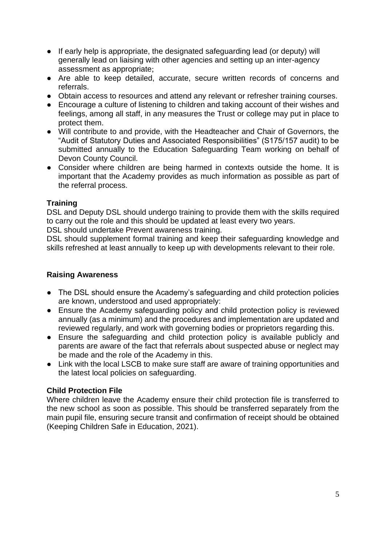- If early help is appropriate, the designated safeguarding lead (or deputy) will generally lead on liaising with other agencies and setting up an inter-agency assessment as appropriate;
- Are able to keep detailed, accurate, secure written records of concerns and referrals.
- Obtain access to resources and attend any relevant or refresher training courses.
- Encourage a culture of listening to children and taking account of their wishes and feelings, among all staff, in any measures the Trust or college may put in place to protect them.
- Will contribute to and provide, with the Headteacher and Chair of Governors, the "Audit of Statutory Duties and Associated Responsibilities" (S175/157 audit) to be submitted annually to the Education Safeguarding Team working on behalf of Devon County Council.
- Consider where children are being harmed in contexts outside the home. It is important that the Academy provides as much information as possible as part of the referral process.

## **Training**

DSL and Deputy DSL should undergo training to provide them with the skills required to carry out the role and this should be updated at least every two years.

DSL should undertake Prevent awareness training.

DSL should supplement formal training and keep their safeguarding knowledge and skills refreshed at least annually to keep up with developments relevant to their role.

## **Raising Awareness**

- The DSL should ensure the Academy's safeguarding and child protection policies are known, understood and used appropriately:
- Ensure the Academy safeguarding policy and child protection policy is reviewed annually (as a minimum) and the procedures and implementation are updated and reviewed regularly, and work with governing bodies or proprietors regarding this.
- Ensure the safeguarding and child protection policy is available publicly and parents are aware of the fact that referrals about suspected abuse or neglect may be made and the role of the Academy in this.
- Link with the local LSCB to make sure staff are aware of training opportunities and the latest local policies on safeguarding.

## **Child Protection File**

Where children leave the Academy ensure their child protection file is transferred to the new school as soon as possible. This should be transferred separately from the main pupil file, ensuring secure transit and confirmation of receipt should be obtained (Keeping Children Safe in Education, 2021).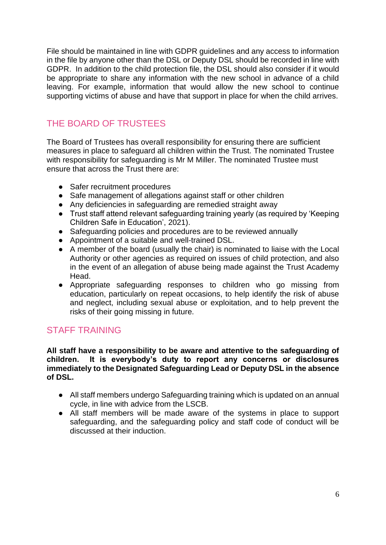File should be maintained in line with GDPR guidelines and any access to information in the file by anyone other than the DSL or Deputy DSL should be recorded in line with GDPR. In addition to the child protection file, the DSL should also consider if it would be appropriate to share any information with the new school in advance of a child leaving. For example, information that would allow the new school to continue supporting victims of abuse and have that support in place for when the child arrives.

# THE BOARD OF TRUSTEES

The Board of Trustees has overall responsibility for ensuring there are sufficient measures in place to safeguard all children within the Trust. The nominated Trustee with responsibility for safeguarding is Mr M Miller. The nominated Trustee must ensure that across the Trust there are:

- Safer recruitment procedures
- Safe management of allegations against staff or other children
- Any deficiencies in safeguarding are remedied straight away
- Trust staff attend relevant safeguarding training yearly (as required by 'Keeping Children Safe in Education', 2021).
- Safeguarding policies and procedures are to be reviewed annually
- Appointment of a suitable and well-trained DSL.
- A member of the board (usually the chair) is nominated to liaise with the Local Authority or other agencies as required on issues of child protection, and also in the event of an allegation of abuse being made against the Trust Academy Head.
- Appropriate safeguarding responses to children who go missing from education, particularly on repeat occasions, to help identify the risk of abuse and neglect, including sexual abuse or exploitation, and to help prevent the risks of their going missing in future.

# STAFF TRAINING

**All staff have a responsibility to be aware and attentive to the safeguarding of children. It is everybody's duty to report any concerns or disclosures immediately to the Designated Safeguarding Lead or Deputy DSL in the absence of DSL.**

- All staff members undergo Safeguarding training which is updated on an annual cycle, in line with advice from the LSCB.
- All staff members will be made aware of the systems in place to support safeguarding, and the safeguarding policy and staff code of conduct will be discussed at their induction.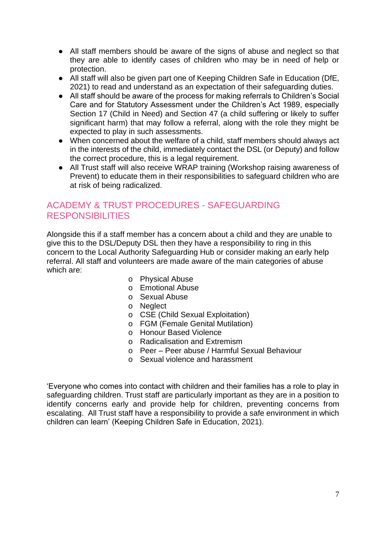- All staff members should be aware of the signs of abuse and neglect so that they are able to identify cases of children who may be in need of help or protection.
- All staff will also be given part one of Keeping Children Safe in Education (DfE, 2021) to read and understand as an expectation of their safeguarding duties.
- All staff should be aware of the process for making referrals to Children's Social Care and for Statutory Assessment under the Children's Act 1989, especially Section 17 (Child in Need) and Section 47 (a child suffering or likely to suffer significant harm) that may follow a referral, along with the role they might be expected to play in such assessments.
- When concerned about the welfare of a child, staff members should always act in the interests of the child, immediately contact the DSL (or Deputy) and follow the correct procedure, this is a legal requirement.
- All Trust staff will also receive WRAP training (Workshop raising awareness of Prevent) to educate them in their responsibilities to safeguard children who are at risk of being radicalized.

# ACADEMY & TRUST PROCEDURES - SAFEGUARDING RESPONSIBILITIES

Alongside this if a staff member has a concern about a child and they are unable to give this to the DSL/Deputy DSL then they have a responsibility to ring in this concern to the Local Authority Safeguarding Hub or consider making an early help referral. All staff and volunteers are made aware of the main categories of abuse which are:

- o Physical Abuse
- o Emotional Abuse
- o Sexual Abuse
- o Neglect
- o CSE (Child Sexual Exploitation)
- o FGM (Female Genital Mutilation)
- o Honour Based Violence
- o Radicalisation and Extremism
- o Peer Peer abuse / Harmful Sexual Behaviour
- o Sexual violence and harassment

'Everyone who comes into contact with children and their families has a role to play in safeguarding children. Trust staff are particularly important as they are in a position to identify concerns early and provide help for children, preventing concerns from escalating. All Trust staff have a responsibility to provide a safe environment in which children can learn' (Keeping Children Safe in Education, 2021).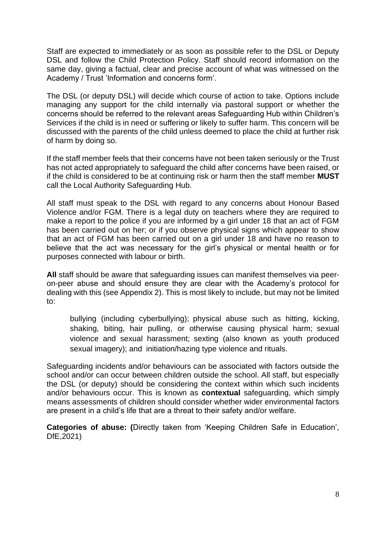Staff are expected to immediately or as soon as possible refer to the DSL or Deputy DSL and follow the Child Protection Policy. Staff should record information on the same day, giving a factual, clear and precise account of what was witnessed on the Academy / Trust 'Information and concerns form'.

The DSL (or deputy DSL) will decide which course of action to take. Options include managing any support for the child internally via pastoral support or whether the concerns should be referred to the relevant areas Safeguarding Hub within Children's Services if the child is in need or suffering or likely to suffer harm. This concern will be discussed with the parents of the child unless deemed to place the child at further risk of harm by doing so.

If the staff member feels that their concerns have not been taken seriously or the Trust has not acted appropriately to safeguard the child after concerns have been raised, or if the child is considered to be at continuing risk or harm then the staff member **MUST** call the Local Authority Safeguarding Hub.

All staff must speak to the DSL with regard to any concerns about Honour Based Violence and/or FGM. There is a legal duty on teachers where they are required to make a report to the police if you are informed by a girl under 18 that an act of FGM has been carried out on her; or if you observe physical signs which appear to show that an act of FGM has been carried out on a girl under 18 and have no reason to believe that the act was necessary for the girl's physical or mental health or for purposes connected with labour or birth.

**All** staff should be aware that safeguarding issues can manifest themselves via peeron-peer abuse and should ensure they are clear with the Academy's protocol for dealing with this (see Appendix 2). This is most likely to include, but may not be limited to:

bullying (including cyberbullying); physical abuse such as hitting, kicking, shaking, biting, hair pulling, or otherwise causing physical harm; sexual violence and sexual harassment; sexting (also known as youth produced sexual imagery); and initiation/hazing type violence and rituals.

Safeguarding incidents and/or behaviours can be associated with factors outside the school and/or can occur between children outside the school. All staff, but especially the DSL (or deputy) should be considering the context within which such incidents and/or behaviours occur. This is known as **contextual** safeguarding, which simply means assessments of children should consider whether wider environmental factors are present in a child's life that are a threat to their safety and/or welfare.

**Categories of abuse: (**Directly taken from 'Keeping Children Safe in Education', DfE,2021)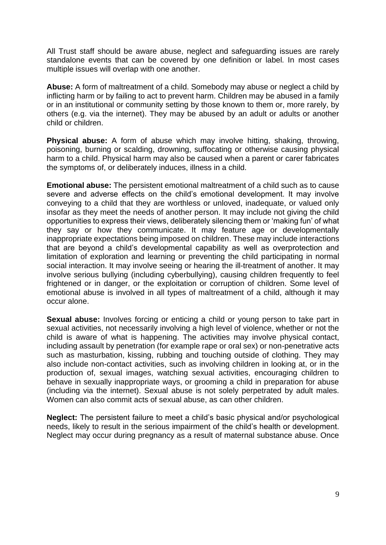All Trust staff should be aware abuse, neglect and safeguarding issues are rarely standalone events that can be covered by one definition or label. In most cases multiple issues will overlap with one another.

**Abuse:** A form of maltreatment of a child. Somebody may abuse or neglect a child by inflicting harm or by failing to act to prevent harm. Children may be abused in a family or in an institutional or community setting by those known to them or, more rarely, by others (e.g. via the internet). They may be abused by an adult or adults or another child or children.

**Physical abuse:** A form of abuse which may involve hitting, shaking, throwing, poisoning, burning or scalding, drowning, suffocating or otherwise causing physical harm to a child. Physical harm may also be caused when a parent or carer fabricates the symptoms of, or deliberately induces, illness in a child.

**Emotional abuse:** The persistent emotional maltreatment of a child such as to cause severe and adverse effects on the child's emotional development. It may involve conveying to a child that they are worthless or unloved, inadequate, or valued only insofar as they meet the needs of another person. It may include not giving the child opportunities to express their views, deliberately silencing them or 'making fun' of what they say or how they communicate. It may feature age or developmentally inappropriate expectations being imposed on children. These may include interactions that are beyond a child's developmental capability as well as overprotection and limitation of exploration and learning or preventing the child participating in normal social interaction. It may involve seeing or hearing the ill-treatment of another. It may involve serious bullying (including cyberbullying), causing children frequently to feel frightened or in danger, or the exploitation or corruption of children. Some level of emotional abuse is involved in all types of maltreatment of a child, although it may occur alone.

**Sexual abuse:** Involves forcing or enticing a child or young person to take part in sexual activities, not necessarily involving a high level of violence, whether or not the child is aware of what is happening. The activities may involve physical contact, including assault by penetration (for example rape or oral sex) or non-penetrative acts such as masturbation, kissing, rubbing and touching outside of clothing. They may also include non-contact activities, such as involving children in looking at, or in the production of, sexual images, watching sexual activities, encouraging children to behave in sexually inappropriate ways, or grooming a child in preparation for abuse (including via the internet). Sexual abuse is not solely perpetrated by adult males. Women can also commit acts of sexual abuse, as can other children.

**Neglect:** The persistent failure to meet a child's basic physical and/or psychological needs, likely to result in the serious impairment of the child's health or development. Neglect may occur during pregnancy as a result of maternal substance abuse. Once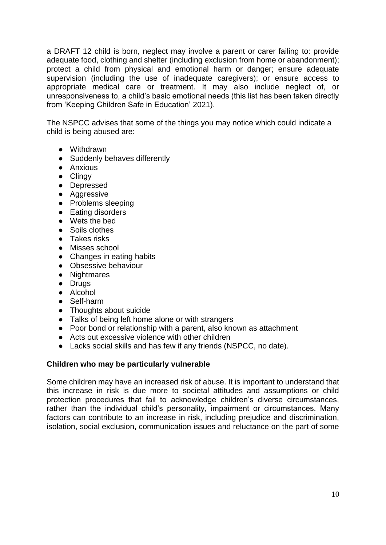a DRAFT 12 child is born, neglect may involve a parent or carer failing to: provide adequate food, clothing and shelter (including exclusion from home or abandonment); protect a child from physical and emotional harm or danger; ensure adequate supervision (including the use of inadequate caregivers); or ensure access to appropriate medical care or treatment. It may also include neglect of, or unresponsiveness to, a child's basic emotional needs (this list has been taken directly from 'Keeping Children Safe in Education' 2021).

The NSPCC advises that some of the things you may notice which could indicate a child is being abused are:

- Withdrawn
- Suddenly behaves differently
- Anxious
- Clingy
- Depressed
- Aggressive
- Problems sleeping
- Eating disorders
- Wets the bed
- Soils clothes
- Takes risks
- Misses school
- Changes in eating habits
- Obsessive behaviour
- Nightmares
- Drugs
- Alcohol
- Self-harm
- Thoughts about suicide
- Talks of being left home alone or with strangers
- Poor bond or relationship with a parent, also known as attachment
- Acts out excessive violence with other children
- Lacks social skills and has few if any friends (NSPCC, no date).

#### **Children who may be particularly vulnerable**

Some children may have an increased risk of abuse. It is important to understand that this increase in risk is due more to societal attitudes and assumptions or child protection procedures that fail to acknowledge children's diverse circumstances, rather than the individual child's personality, impairment or circumstances. Many factors can contribute to an increase in risk, including prejudice and discrimination, isolation, social exclusion, communication issues and reluctance on the part of some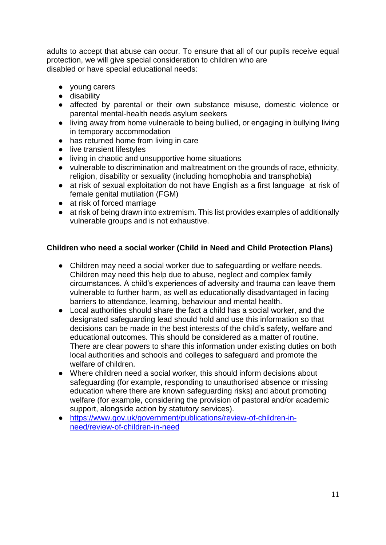adults to accept that abuse can occur. To ensure that all of our pupils receive equal protection, we will give special consideration to children who are disabled or have special educational needs:

- young carers
- disability
- affected by parental or their own substance misuse, domestic violence or parental mental-health needs asylum seekers
- living away from home vulnerable to being bullied, or engaging in bullying living in temporary accommodation
- has returned home from living in care
- live transient lifestyles
- living in chaotic and unsupportive home situations
- vulnerable to discrimination and maltreatment on the grounds of race, ethnicity, religion, disability or sexuality (including homophobia and transphobia)
- at risk of sexual exploitation do not have English as a first language at risk of female genital mutilation (FGM)
- at risk of forced marriage
- at risk of being drawn into extremism. This list provides examples of additionally vulnerable groups and is not exhaustive.

#### **Children who need a social worker (Child in Need and Child Protection Plans)**

- Children may need a social worker due to safeguarding or welfare needs. Children may need this help due to abuse, neglect and complex family circumstances. A child's experiences of adversity and trauma can leave them vulnerable to further harm, as well as educationally disadvantaged in facing barriers to attendance, learning, behaviour and mental health.
- Local authorities should share the fact a child has a social worker, and the designated safeguarding lead should hold and use this information so that decisions can be made in the best interests of the child's safety, welfare and educational outcomes. This should be considered as a matter of routine. There are clear powers to share this information under existing duties on both local authorities and schools and colleges to safeguard and promote the welfare of children.
- Where children need a social worker, this should inform decisions about safeguarding (for example, responding to unauthorised absence or missing education where there are known safeguarding risks) and about promoting welfare (for example, considering the provision of pastoral and/or academic support, alongside action by statutory services).
- [https://www.gov.uk/government/publications/review-of-children-in](https://www.gov.uk/government/publications/review-of-children-in-need/review-of-children-in-need)[need/review-of-children-in-need](https://www.gov.uk/government/publications/review-of-children-in-need/review-of-children-in-need)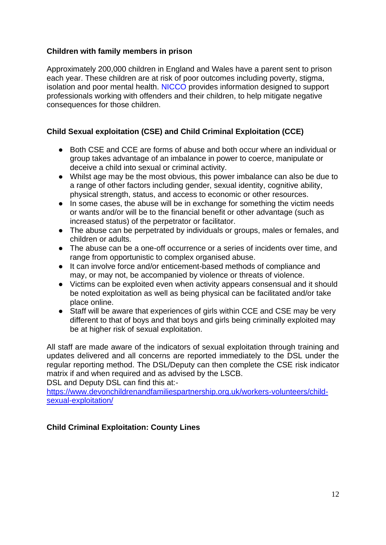## **Children with family members in prison**

Approximately 200,000 children in England and Wales have a parent sent to prison each year. These children are at risk of poor outcomes including poverty, stigma, isolation and poor mental health. NICCO provides information designed to support professionals working with offenders and their children, to help mitigate negative consequences for those children.

## **Child Sexual exploitation (CSE) and Child Criminal Exploitation (CCE)**

- Both CSE and CCE are forms of abuse and both occur where an individual or group takes advantage of an imbalance in power to coerce, manipulate or deceive a child into sexual or criminal activity.
- Whilst age may be the most obvious, this power imbalance can also be due to a range of other factors including gender, sexual identity, cognitive ability, physical strength, status, and access to economic or other resources.
- In some cases, the abuse will be in exchange for something the victim needs or wants and/or will be to the financial benefit or other advantage (such as increased status) of the perpetrator or facilitator.
- The abuse can be perpetrated by individuals or groups, males or females, and children or adults.
- The abuse can be a one-off occurrence or a series of incidents over time, and range from opportunistic to complex organised abuse.
- It can involve force and/or enticement-based methods of compliance and may, or may not, be accompanied by violence or threats of violence.
- Victims can be exploited even when activity appears consensual and it should be noted exploitation as well as being physical can be facilitated and/or take place online.
- Staff will be aware that experiences of girls within CCE and CSE may be very different to that of boys and that boys and girls being criminally exploited may be at higher risk of sexual exploitation.

All staff are made aware of the indicators of sexual exploitation through training and updates delivered and all concerns are reported immediately to the DSL under the regular reporting method. The DSL/Deputy can then complete the CSE risk indicator matrix if and when required and as advised by the LSCB.

DSL and Deputy DSL can find this at:-

[https://www.devonchildrenandfamiliespartnership.org.uk/workers-volunteers/child](https://www.devonchildrenandfamiliespartnership.org.uk/workers-volunteers/child-sexual-exploitation/)[sexual-exploitation/](https://www.devonchildrenandfamiliespartnership.org.uk/workers-volunteers/child-sexual-exploitation/)

## **Child Criminal Exploitation: County Lines**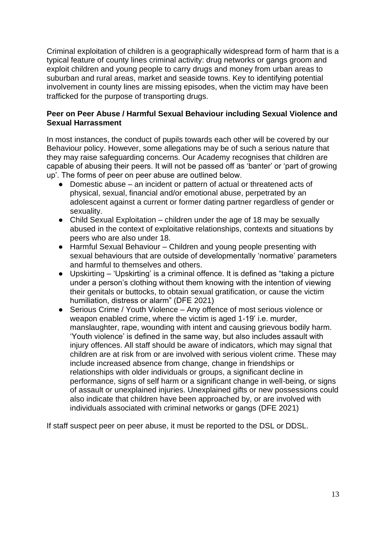Criminal exploitation of children is a geographically widespread form of harm that is a typical feature of county lines criminal activity: drug networks or gangs groom and exploit children and young people to carry drugs and money from urban areas to suburban and rural areas, market and seaside towns. Key to identifying potential involvement in county lines are missing episodes, when the victim may have been trafficked for the purpose of transporting drugs.

#### **Peer on Peer Abuse / Harmful Sexual Behaviour including Sexual Violence and Sexual Harrassment**

In most instances, the conduct of pupils towards each other will be covered by our Behaviour policy. However, some allegations may be of such a serious nature that they may raise safeguarding concerns. Our Academy recognises that children are capable of abusing their peers. It will not be passed off as 'banter' or 'part of growing up'. The forms of peer on peer abuse are outlined below.

- Domestic abuse an incident or pattern of actual or threatened acts of physical, sexual, financial and/or emotional abuse, perpetrated by an adolescent against a current or former dating partner regardless of gender or sexuality.
- Child Sexual Exploitation children under the age of 18 may be sexually abused in the context of exploitative relationships, contexts and situations by peers who are also under 18.
- Harmful Sexual Behaviour Children and young people presenting with sexual behaviours that are outside of developmentally 'normative' parameters and harmful to themselves and others.
- Upskirting 'Upskirting' is a criminal offence. It is defined as "taking a picture under a person's clothing without them knowing with the intention of viewing their genitals or buttocks, to obtain sexual gratification, or cause the victim humiliation, distress or alarm" (DFE 2021)
- Serious Crime / Youth Violence Any offence of most serious violence or weapon enabled crime, where the victim is aged 1-19' i.e. murder, manslaughter, rape, wounding with intent and causing grievous bodily harm. 'Youth violence' is defined in the same way, but also includes assault with injury offences. All staff should be aware of indicators, which may signal that children are at risk from or are involved with serious violent crime. These may include increased absence from change, change in friendships or relationships with older individuals or groups, a significant decline in performance, signs of self harm or a significant change in well-being, or signs of assault or unexplained injuries. Unexplained gifts or new possessions could also indicate that children have been approached by, or are involved with individuals associated with criminal networks or gangs (DFE 2021)

If staff suspect peer on peer abuse, it must be reported to the DSL or DDSL.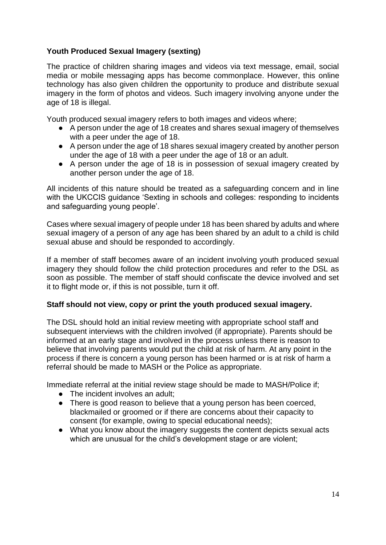## **Youth Produced Sexual Imagery (sexting)**

The practice of children sharing images and videos via text message, email, social media or mobile messaging apps has become commonplace. However, this online technology has also given children the opportunity to produce and distribute sexual imagery in the form of photos and videos. Such imagery involving anyone under the age of 18 is illegal.

Youth produced sexual imagery refers to both images and videos where;

- A person under the age of 18 creates and shares sexual imagery of themselves with a peer under the age of 18.
- A person under the age of 18 shares sexual imagery created by another person under the age of 18 with a peer under the age of 18 or an adult.
- A person under the age of 18 is in possession of sexual imagery created by another person under the age of 18.

All incidents of this nature should be treated as a safeguarding concern and in line with the UKCCIS guidance 'Sexting in schools and colleges: responding to incidents and safeguarding young people'.

Cases where sexual imagery of people under 18 has been shared by adults and where sexual imagery of a person of any age has been shared by an adult to a child is child sexual abuse and should be responded to accordingly.

If a member of staff becomes aware of an incident involving youth produced sexual imagery they should follow the child protection procedures and refer to the DSL as soon as possible. The member of staff should confiscate the device involved and set it to flight mode or, if this is not possible, turn it off.

#### **Staff should not view, copy or print the youth produced sexual imagery.**

The DSL should hold an initial review meeting with appropriate school staff and subsequent interviews with the children involved (if appropriate). Parents should be informed at an early stage and involved in the process unless there is reason to believe that involving parents would put the child at risk of harm. At any point in the process if there is concern a young person has been harmed or is at risk of harm a referral should be made to MASH or the Police as appropriate.

Immediate referral at the initial review stage should be made to MASH/Police if;

- $\bullet$  The incident involves an adult:
- There is good reason to believe that a young person has been coerced, blackmailed or groomed or if there are concerns about their capacity to consent (for example, owing to special educational needs);
- What you know about the imagery suggests the content depicts sexual acts which are unusual for the child's development stage or are violent;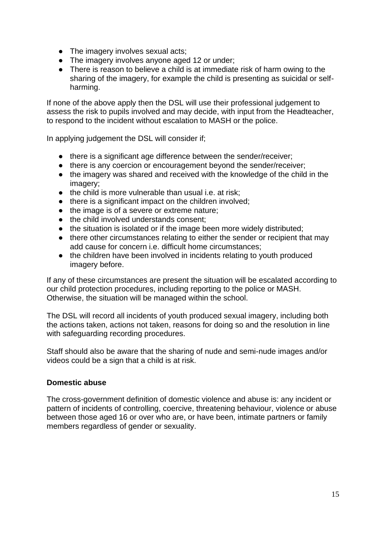- The imagery involves sexual acts;
- The imagery involves anyone aged 12 or under;
- There is reason to believe a child is at immediate risk of harm owing to the sharing of the imagery, for example the child is presenting as suicidal or selfharming.

If none of the above apply then the DSL will use their professional judgement to assess the risk to pupils involved and may decide, with input from the Headteacher, to respond to the incident without escalation to MASH or the police.

In applying judgement the DSL will consider if;

- there is a significant age difference between the sender/receiver;
- there is any coercion or encouragement beyond the sender/receiver;
- the imagery was shared and received with the knowledge of the child in the imagery;
- the child is more vulnerable than usual i.e. at risk;
- there is a significant impact on the children involved;
- the image is of a severe or extreme nature;
- the child involved understands consent:
- the situation is isolated or if the image been more widely distributed;
- there other circumstances relating to either the sender or recipient that may add cause for concern i.e. difficult home circumstances;
- the children have been involved in incidents relating to youth produced imagery before.

If any of these circumstances are present the situation will be escalated according to our child protection procedures, including reporting to the police or MASH. Otherwise, the situation will be managed within the school.

The DSL will record all incidents of youth produced sexual imagery, including both the actions taken, actions not taken, reasons for doing so and the resolution in line with safeguarding recording procedures.

Staff should also be aware that the sharing of nude and semi-nude images and/or videos could be a sign that a child is at risk.

#### **Domestic abuse**

The cross-government definition of domestic violence and abuse is: any incident or pattern of incidents of controlling, coercive, threatening behaviour, violence or abuse between those aged 16 or over who are, or have been, intimate partners or family members regardless of gender or sexuality.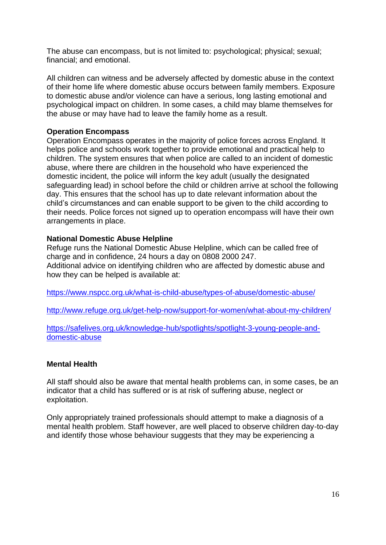The abuse can encompass, but is not limited to: psychological; physical; sexual; financial; and emotional.

All children can witness and be adversely affected by domestic abuse in the context of their home life where domestic abuse occurs between family members. Exposure to domestic abuse and/or violence can have a serious, long lasting emotional and psychological impact on children. In some cases, a child may blame themselves for the abuse or may have had to leave the family home as a result.

#### **Operation Encompass**

Operation Encompass operates in the majority of police forces across England. It helps police and schools work together to provide emotional and practical help to children. The system ensures that when police are called to an incident of domestic abuse, where there are children in the household who have experienced the domestic incident, the police will inform the key adult (usually the designated safeguarding lead) in school before the child or children arrive at school the following day. This ensures that the school has up to date relevant information about the child's circumstances and can enable support to be given to the child according to their needs. Police forces not signed up to operation encompass will have their own arrangements in place.

#### **National Domestic Abuse Helpline**

Refuge runs the National Domestic Abuse Helpline, which can be called free of charge and in confidence, 24 hours a day on 0808 2000 247. Additional advice on identifying children who are affected by domestic abuse and how they can be helped is available at:

<https://www.nspcc.org.uk/what-is-child-abuse/types-of-abuse/domestic-abuse/>

<http://www.refuge.org.uk/get-help-now/support-for-women/what-about-my-children/>

[https://safelives.org.uk/knowledge-hub/spotlights/spotlight-3-young-people-and](https://safelives.org.uk/knowledge-hub/spotlights/spotlight-3-young-people-and-domestic-abuse)[domestic-abuse](https://safelives.org.uk/knowledge-hub/spotlights/spotlight-3-young-people-and-domestic-abuse)

#### **Mental Health**

All staff should also be aware that mental health problems can, in some cases, be an indicator that a child has suffered or is at risk of suffering abuse, neglect or exploitation.

Only appropriately trained professionals should attempt to make a diagnosis of a mental health problem. Staff however, are well placed to observe children day-to-day and identify those whose behaviour suggests that they may be experiencing a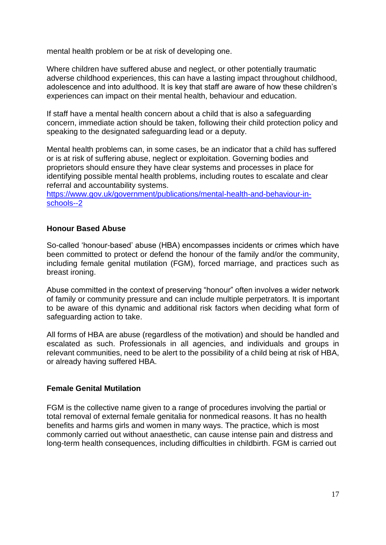mental health problem or be at risk of developing one.

Where children have suffered abuse and neglect, or other potentially traumatic adverse childhood experiences, this can have a lasting impact throughout childhood, adolescence and into adulthood. It is key that staff are aware of how these children's experiences can impact on their mental health, behaviour and education.

If staff have a mental health concern about a child that is also a safeguarding concern, immediate action should be taken, following their child protection policy and speaking to the designated safeguarding lead or a deputy.

Mental health problems can, in some cases, be an indicator that a child has suffered or is at risk of suffering abuse, neglect or exploitation. Governing bodies and proprietors should ensure they have clear systems and processes in place for identifying possible mental health problems, including routes to escalate and clear referral and accountability systems.

[https://www.gov.uk/government/publications/mental-health-and-behaviour-in](https://www.gov.uk/government/publications/mental-health-and-behaviour-in-schools--2)[schools--2](https://www.gov.uk/government/publications/mental-health-and-behaviour-in-schools--2)

#### **Honour Based Abuse**

So-called 'honour-based' abuse (HBA) encompasses incidents or crimes which have been committed to protect or defend the honour of the family and/or the community, including female genital mutilation (FGM), forced marriage, and practices such as breast ironing.

Abuse committed in the context of preserving "honour" often involves a wider network of family or community pressure and can include multiple perpetrators. It is important to be aware of this dynamic and additional risk factors when deciding what form of safeguarding action to take.

All forms of HBA are abuse (regardless of the motivation) and should be handled and escalated as such. Professionals in all agencies, and individuals and groups in relevant communities, need to be alert to the possibility of a child being at risk of HBA, or already having suffered HBA.

#### **Female Genital Mutilation**

FGM is the collective name given to a range of procedures involving the partial or total removal of external female genitalia for nonmedical reasons. It has no health benefits and harms girls and women in many ways. The practice, which is most commonly carried out without anaesthetic, can cause intense pain and distress and long-term health consequences, including difficulties in childbirth. FGM is carried out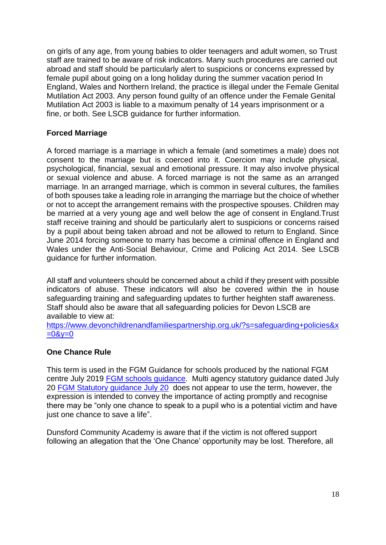on girls of any age, from young babies to older teenagers and adult women, so Trust staff are trained to be aware of risk indicators. Many such procedures are carried out abroad and staff should be particularly alert to suspicions or concerns expressed by female pupil about going on a long holiday during the summer vacation period In England, Wales and Northern Ireland, the practice is illegal under the Female Genital Mutilation Act 2003. Any person found guilty of an offence under the Female Genital Mutilation Act 2003 is liable to a maximum penalty of 14 years imprisonment or a fine, or both. See LSCB guidance for further information.

## **Forced Marriage**

A forced marriage is a marriage in which a female (and sometimes a male) does not consent to the marriage but is coerced into it. Coercion may include physical, psychological, financial, sexual and emotional pressure. It may also involve physical or sexual violence and abuse. A forced marriage is not the same as an arranged marriage. In an arranged marriage, which is common in several cultures, the families of both spouses take a leading role in arranging the marriage but the choice of whether or not to accept the arrangement remains with the prospective spouses. Children may be married at a very young age and well below the age of consent in England.Trust staff receive training and should be particularly alert to suspicions or concerns raised by a pupil about being taken abroad and not be allowed to return to England. Since June 2014 forcing someone to marry has become a criminal offence in England and Wales under the Anti-Social Behaviour, Crime and Policing Act 2014. See LSCB guidance for further information.

All staff and volunteers should be concerned about a child if they present with possible indicators of abuse. These indicators will also be covered within the in house safeguarding training and safeguarding updates to further heighten staff awareness. Staff should also be aware that all safeguarding policies for Devon LSCB are available to view at:

[https://www.devonchildrenandfamiliespartnership.org.uk/?s=safeguarding+policies&x](https://www.devonchildrenandfamiliespartnership.org.uk/?s=safeguarding+policies&x=0&y=0)  $=0$ &y=0

## **One Chance Rule**

This term is used in the FGM Guidance for schools produced by the national FGM centre July 2019 [FGM schools guidance.](http://nationalfgmcentre.org.uk/wp-content/uploads/2019/06/FGM-Schools-Guidance-National-FGM-Centre.pdf) Multi agency statutory guidance dated July 2[0](https://assets.publishing.service.gov.uk/government/uploads/system/uploads/attachment_data/file/912996/6-1914-HO-Multi_Agency_Statutory_Guidance_on_FGM__-_MASTER_V7_-_FINAL__July_2020.pdf) [FGM Statutory guidance July 20](https://assets.publishing.service.gov.uk/government/uploads/system/uploads/attachment_data/file/912996/6-1914-HO-Multi_Agency_Statutory_Guidance_on_FGM__-_MASTER_V7_-_FINAL__July_2020.pdf) does not appear to use the term, however, the expression is intended to convey the importance of acting promptly and recognise there may be "only one chance to speak to a pupil who is a potential victim and have just one chance to save a life".

Dunsford Community Academy is aware that if the victim is not offered support following an allegation that the 'One Chance' opportunity may be lost. Therefore, all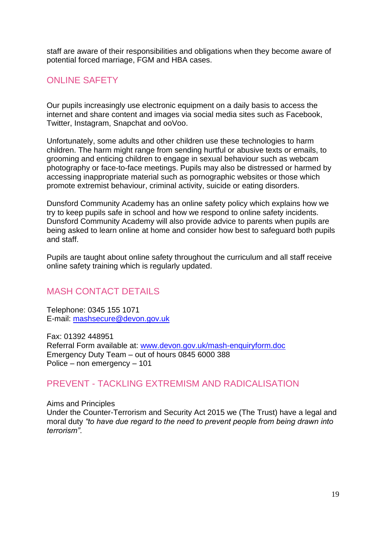staff are aware of their responsibilities and obligations when they become aware of potential forced marriage, FGM and HBA cases.

# ONLINE SAFETY

Our pupils increasingly use electronic equipment on a daily basis to access the internet and share content and images via social media sites such as Facebook, Twitter, Instagram, Snapchat and ooVoo.

Unfortunately, some adults and other children use these technologies to harm children. The harm might range from sending hurtful or abusive texts or emails, to grooming and enticing children to engage in sexual behaviour such as webcam photography or face-to-face meetings. Pupils may also be distressed or harmed by accessing inappropriate material such as pornographic websites or those which promote extremist behaviour, criminal activity, suicide or eating disorders.

Dunsford Community Academy has an online safety policy which explains how we try to keep pupils safe in school and how we respond to online safety incidents. Dunsford Community Academy will also provide advice to parents when pupils are being asked to learn online at home and consider how best to safeguard both pupils and staff.

Pupils are taught about online safety throughout the curriculum and all staff receive online safety training which is regularly updated.

# MASH CONTACT DETAILS

Telephone: 0345 155 1071 E-mail: [mashsecure@devon.gov.uk](mailto:mashsecure@devon.gov.uk)

Fax: 01392 448951 Referral Form available at: [www.devon.gov.uk/mash-enquiryform.doc](http://www.devon.gov.uk/mash-enquiryform.doc) Emergency Duty Team – out of hours 0845 6000 388 Police – non emergency – 101

## PREVENT - TACKLING EXTREMISM AND RADICALISATION

Aims and Principles Under the Counter-Terrorism and Security Act 2015 we (The Trust) have a legal and moral duty *"to have due regard to the need to prevent people from being drawn into terrorism"*.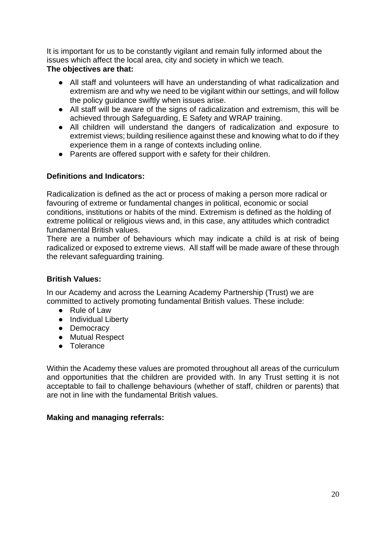It is important for us to be constantly vigilant and remain fully informed about the issues which affect the local area, city and society in which we teach. **The objectives are that:**

- All staff and volunteers will have an understanding of what radicalization and extremism are and why we need to be vigilant within our settings, and will follow the policy guidance swiftly when issues arise.
- All staff will be aware of the signs of radicalization and extremism, this will be achieved through Safeguarding, E Safety and WRAP training.
- All children will understand the dangers of radicalization and exposure to extremist views; building resilience against these and knowing what to do if they experience them in a range of contexts including online.
- Parents are offered support with e safety for their children.

## **Definitions and Indicators:**

Radicalization is defined as the act or process of making a person more radical or favouring of extreme or fundamental changes in political, economic or social conditions, institutions or habits of the mind. Extremism is defined as the holding of extreme political or religious views and, in this case, any attitudes which contradict fundamental British values.

There are a number of behaviours which may indicate a child is at risk of being radicalized or exposed to extreme views. All staff will be made aware of these through the relevant safeguarding training.

## **British Values:**

In our Academy and across the Learning Academy Partnership (Trust) we are committed to actively promoting fundamental British values. These include:

- Rule of Law
- Individual Liberty
- Democracy
- Mutual Respect
- Tolerance

Within the Academy these values are promoted throughout all areas of the curriculum and opportunities that the children are provided with. In any Trust setting it is not acceptable to fail to challenge behaviours (whether of staff, children or parents) that are not in line with the fundamental British values.

#### **Making and managing referrals:**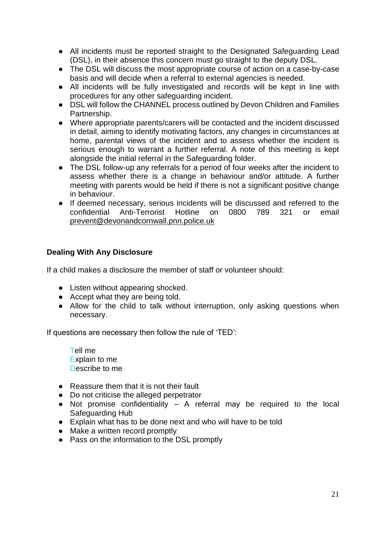- All incidents must be reported straight to the Designated Safeguarding Lead (DSL), in their absence this concern must go straight to the deputy DSL.
- The DSL will discuss the most appropriate course of action on a case-by-case basis and will decide when a referral to external agencies is needed.
- All incidents will be fully investigated and records will be kept in line with procedures for any other safeguarding incident.
- DSL will follow the CHANNEL process outlined by Devon Children and Families Partnership.
- Where appropriate parents/carers will be contacted and the incident discussed in detail, aiming to identify motivating factors, any changes in circumstances at home, parental views of the incident and to assess whether the incident is serious enough to warrant a further referral. A note of this meeting is kept alongside the initial referral in the Safeguarding folder.
- The DSL follow-up any referrals for a period of four weeks after the incident to assess whether there is a change in behaviour and/or attitude. A further meeting with parents would be held if there is not a significant positive change in behaviour.
- If deemed necessary, serious incidents will be discussed and referred to the confidential Anti-Terrorist Hotline on 0800 789 321 or email [prevent@devonandcornwall.pnn.police.uk](mailto:prevent@devonandcornwall.pnn.police.uk)

## **Dealing With Any Disclosure**

If a child makes a disclosure the member of staff or volunteer should:

- Listen without appearing shocked.
- Accept what they are being told.
- Allow for the child to talk without interruption, only asking questions when necessary.

If questions are necessary then follow the rule of 'TED':

Tell me Explain to me Describe to me

- Reassure them that it is not their fault
- Do not criticise the alleged perpetrator
- $\bullet$  Not promise confidentiality  $-$  A referral may be required to the local Safeguarding Hub
- Explain what has to be done next and who will have to be told
- Make a written record promptly
- Pass on the information to the DSL promptly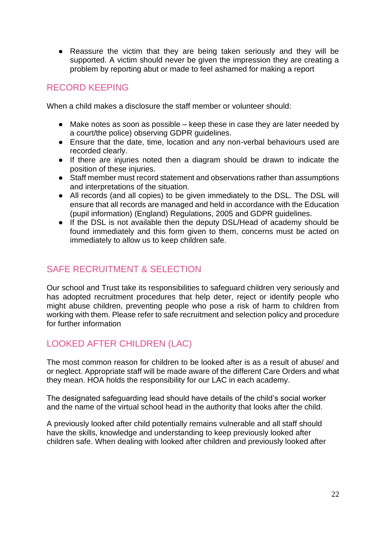• Reassure the victim that they are being taken seriously and they will be supported. A victim should never be given the impression they are creating a problem by reporting abut or made to feel ashamed for making a report

# RECORD KEEPING

When a child makes a disclosure the staff member or volunteer should:

- Make notes as soon as possible keep these in case they are later needed by a court/the police) observing GDPR guidelines.
- Ensure that the date, time, location and any non-verbal behaviours used are recorded clearly.
- If there are injuries noted then a diagram should be drawn to indicate the position of these injuries.
- Staff member must record statement and observations rather than assumptions and interpretations of the situation.
- All records (and all copies) to be given immediately to the DSL. The DSL will ensure that all records are managed and held in accordance with the Education (pupil information) (England) Regulations, 2005 and GDPR guidelines.
- If the DSL is not available then the deputy DSL/Head of academy should be found immediately and this form given to them, concerns must be acted on immediately to allow us to keep children safe.

# SAFE RECRUITMENT & SELECTION

Our school and Trust take its responsibilities to safeguard children very seriously and has adopted recruitment procedures that help deter, reject or identify people who might abuse children, preventing people who pose a risk of harm to children from working with them. Please refer to safe recruitment and selection policy and procedure for further information

# LOOKED AFTER CHILDREN (LAC)

The most common reason for children to be looked after is as a result of abuse/ and or neglect. Appropriate staff will be made aware of the different Care Orders and what they mean. HOA holds the responsibility for our LAC in each academy.

The designated safeguarding lead should have details of the child's social worker and the name of the virtual school head in the authority that looks after the child.

A previously looked after child potentially remains vulnerable and all staff should have the skills, knowledge and understanding to keep previously looked after children safe. When dealing with looked after children and previously looked after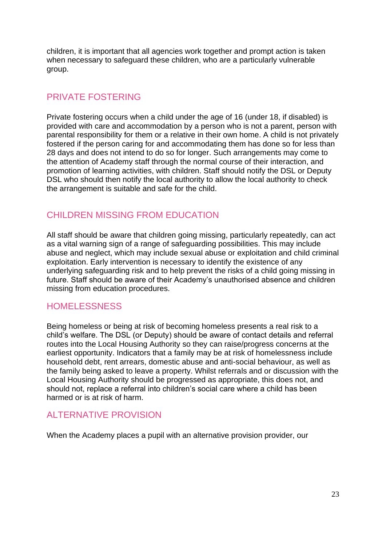children, it is important that all agencies work together and prompt action is taken when necessary to safeguard these children, who are a particularly vulnerable group.

# PRIVATE FOSTERING

Private fostering occurs when a child under the age of 16 (under 18, if disabled) is provided with care and accommodation by a person who is not a parent, person with parental responsibility for them or a relative in their own home. A child is not privately fostered if the person caring for and accommodating them has done so for less than 28 days and does not intend to do so for longer. Such arrangements may come to the attention of Academy staff through the normal course of their interaction, and promotion of learning activities, with children. Staff should notify the DSL or Deputy DSL who should then notify the local authority to allow the local authority to check the arrangement is suitable and safe for the child.

# CHILDREN MISSING FROM EDUCATION

All staff should be aware that children going missing, particularly repeatedly, can act as a vital warning sign of a range of safeguarding possibilities. This may include abuse and neglect, which may include sexual abuse or exploitation and child criminal exploitation. Early intervention is necessary to identify the existence of any underlying safeguarding risk and to help prevent the risks of a child going missing in future. Staff should be aware of their Academy's unauthorised absence and children missing from education procedures.

## **HOMELESSNESS**

Being homeless or being at risk of becoming homeless presents a real risk to a child's welfare. The DSL (or Deputy) should be aware of contact details and referral routes into the Local Housing Authority so they can raise/progress concerns at the earliest opportunity. Indicators that a family may be at risk of homelessness include household debt, rent arrears, domestic abuse and anti-social behaviour, as well as the family being asked to leave a property. Whilst referrals and or discussion with the Local Housing Authority should be progressed as appropriate, this does not, and should not, replace a referral into children's social care where a child has been harmed or is at risk of harm.

# ALTERNATIVE PROVISION

When the Academy places a pupil with an alternative provision provider, our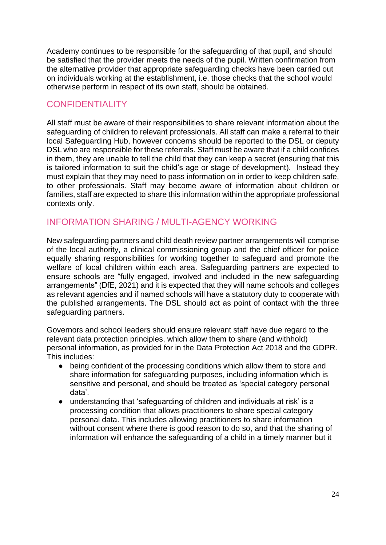Academy continues to be responsible for the safeguarding of that pupil, and should be satisfied that the provider meets the needs of the pupil. Written confirmation from the alternative provider that appropriate safeguarding checks have been carried out on individuals working at the establishment, i.e. those checks that the school would otherwise perform in respect of its own staff, should be obtained.

# **CONFIDENTIALITY**

All staff must be aware of their responsibilities to share relevant information about the safeguarding of children to relevant professionals. All staff can make a referral to their local Safeguarding Hub, however concerns should be reported to the DSL or deputy DSL who are responsible for these referrals. Staff must be aware that if a child confides in them, they are unable to tell the child that they can keep a secret (ensuring that this is tailored information to suit the child's age or stage of development). Instead they must explain that they may need to pass information on in order to keep children safe, to other professionals. Staff may become aware of information about children or families, staff are expected to share this information within the appropriate professional contexts only.

# INFORMATION SHARING / MULTI-AGENCY WORKING

New safeguarding partners and child death review partner arrangements will comprise of the local authority, a clinical commissioning group and the chief officer for police equally sharing responsibilities for working together to safeguard and promote the welfare of local children within each area. Safeguarding partners are expected to ensure schools are "fully engaged, involved and included in the new safeguarding arrangements" (DfE, 2021) and it is expected that they will name schools and colleges as relevant agencies and if named schools will have a statutory duty to cooperate with the published arrangements. The DSL should act as point of contact with the three safeguarding partners.

Governors and school leaders should ensure relevant staff have due regard to the relevant data protection principles, which allow them to share (and withhold) personal information, as provided for in the Data Protection Act 2018 and the GDPR. This includes:

- being confident of the processing conditions which allow them to store and share information for safeguarding purposes, including information which is sensitive and personal, and should be treated as 'special category personal data'.
- understanding that 'safeguarding of children and individuals at risk' is a processing condition that allows practitioners to share special category personal data. This includes allowing practitioners to share information without consent where there is good reason to do so, and that the sharing of information will enhance the safeguarding of a child in a timely manner but it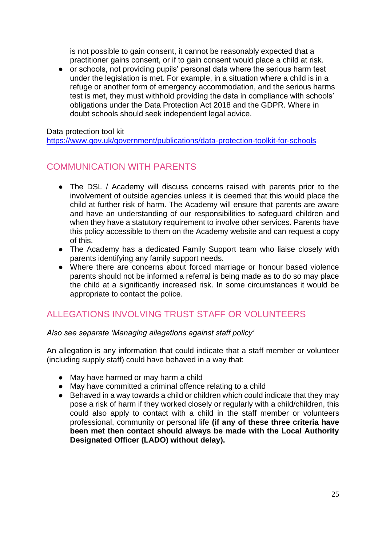is not possible to gain consent, it cannot be reasonably expected that a practitioner gains consent, or if to gain consent would place a child at risk.

● or schools, not providing pupils' personal data where the serious harm test under the legislation is met. For example, in a situation where a child is in a refuge or another form of emergency accommodation, and the serious harms test is met, they must withhold providing the data in compliance with schools' obligations under the Data Protection Act 2018 and the GDPR. Where in doubt schools should seek independent legal advice.

Data protection tool kit

<https://www.gov.uk/government/publications/data-protection-toolkit-for-schools>

# COMMUNICATION WITH PARENTS

- The DSL / Academy will discuss concerns raised with parents prior to the involvement of outside agencies unless it is deemed that this would place the child at further risk of harm. The Academy will ensure that parents are aware and have an understanding of our responsibilities to safeguard children and when they have a statutory requirement to involve other services. Parents have this policy accessible to them on the Academy website and can request a copy of this.
- The Academy has a dedicated Family Support team who liaise closely with parents identifying any family support needs.
- Where there are concerns about forced marriage or honour based violence parents should not be informed a referral is being made as to do so may place the child at a significantly increased risk. In some circumstances it would be appropriate to contact the police.

# ALLEGATIONS INVOLVING TRUST STAFF OR VOLUNTEERS

*Also see separate 'Managing allegations against staff policy'* 

An allegation is any information that could indicate that a staff member or volunteer (including supply staff) could have behaved in a way that:

- May have harmed or may harm a child
- May have committed a criminal offence relating to a child
- Behaved in a way towards a child or children which could indicate that they may pose a risk of harm if they worked closely or regularly with a child/children, this could also apply to contact with a child in the staff member or volunteers professional, community or personal life **(if any of these three criteria have been met then contact should always be made with the Local Authority Designated Officer (LADO) without delay).**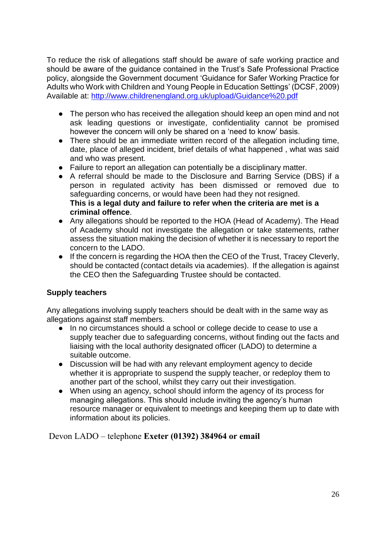To reduce the risk of allegations staff should be aware of safe working practice and should be aware of the guidance contained in the Trust's Safe Professional Practice policy, alongside the Government document 'Guidance for Safer Working Practice for Adults who Work with Children and Young People in Education Settings' (DCSF, 2009) Available at:<http://www.childrenengland.org.uk/upload/Guidance%20.pdf>

- The person who has received the allegation should keep an open mind and not ask leading questions or investigate, confidentiality cannot be promised however the concern will only be shared on a 'need to know' basis.
- There should be an immediate written record of the allegation including time, date, place of alleged incident, brief details of what happened , what was said and who was present.
- Failure to report an allegation can potentially be a disciplinary matter.
- A referral should be made to the Disclosure and Barring Service (DBS) if a person in regulated activity has been dismissed or removed due to safeguarding concerns, or would have been had they not resigned. **This is a legal duty and failure to refer when the criteria are met is a criminal offence**.
- Any allegations should be reported to the HOA (Head of Academy). The Head of Academy should not investigate the allegation or take statements, rather assess the situation making the decision of whether it is necessary to report the concern to the LADO.
- If the concern is regarding the HOA then the CEO of the Trust, Tracey Cleverly, should be contacted (contact details via academies). If the allegation is against the CEO then the Safeguarding Trustee should be contacted.

## **Supply teachers**

Any allegations involving supply teachers should be dealt with in the same way as allegations against staff members.

- In no circumstances should a school or college decide to cease to use a supply teacher due to safeguarding concerns, without finding out the facts and liaising with the local authority designated officer (LADO) to determine a suitable outcome.
- Discussion will be had with any relevant employment agency to decide whether it is appropriate to suspend the supply teacher, or redeploy them to another part of the school, whilst they carry out their investigation.
- When using an agency, school should inform the agency of its process for managing allegations. This should include inviting the agency's human resource manager or equivalent to meetings and keeping them up to date with information about its policies.

Devon LADO – telephone **Exeter (01392) 384964 or email**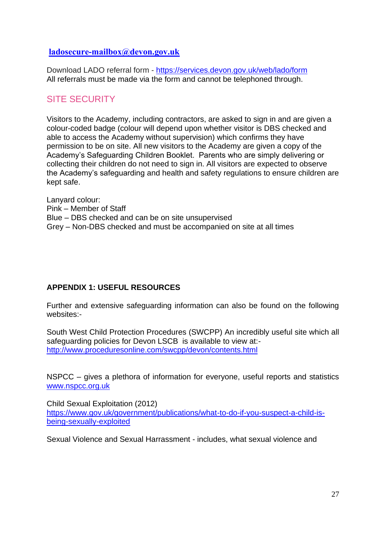#### **[ladosecure-mailbox@devon.gov.uk](mailto:LADOsecure-mailbox@devon.gov.uk)**

Download LADO referral form - <https://services.devon.gov.uk/web/lado/form> All referrals must be made via the form and cannot be telephoned through.

# SITE SECURITY

Visitors to the Academy, including contractors, are asked to sign in and are given a colour-coded badge (colour will depend upon whether visitor is DBS checked and able to access the Academy without supervision) which confirms they have permission to be on site. All new visitors to the Academy are given a copy of the Academy's Safeguarding Children Booklet. Parents who are simply delivering or collecting their children do not need to sign in. All visitors are expected to observe the Academy's safeguarding and health and safety regulations to ensure children are kept safe.

Lanyard colour: Pink – Member of Staff Blue – DBS checked and can be on site unsupervised Grey – Non-DBS checked and must be accompanied on site at all times

## **APPENDIX 1: USEFUL RESOURCES**

Further and extensive safeguarding information can also be found on the following websites:-

South West Child Protection Procedures (SWCPP) An incredibly useful site which all safeguarding policies for Devon LSCB is available to view at:<http://www.proceduresonline.com/swcpp/devon/contents.html>

NSPCC – gives a plethora of information for everyone, useful reports and statistics [www.nspcc.org.uk](http://www.nspcc.org.uk/)

Child Sexual Exploitation (2012) [https://www.gov.uk/government/publications/what-to-do-if-you-suspect-a-child-is](https://www.gov.uk/government/publications/what-to-do-if-you-suspect-a-child-is-being-sexually-exploited)[being-sexually-exploited](https://www.gov.uk/government/publications/what-to-do-if-you-suspect-a-child-is-being-sexually-exploited)

Sexual Violence and Sexual Harrassment - includes, what sexual violence and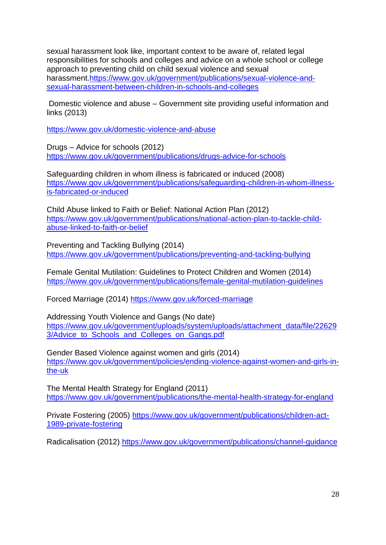sexual harassment look like, important context to be aware of, related legal responsibilities for schools and colleges and advice on a whole school or college approach to preventing child on child sexual violence and sexual harassment[.https://www.gov.uk/government/publications/sexual-violence-and](https://www.gov.uk/government/publications/sexual-violence-and-sexual-harassment-between-children-in-schools-and-colleges)[sexual-harassment-between-children-in-schools-and-colleges](https://www.gov.uk/government/publications/sexual-violence-and-sexual-harassment-between-children-in-schools-and-colleges)

Domestic violence and abuse – Government site providing useful information and links (2013)

<https://www.gov.uk/domestic-violence-and-abuse>

Drugs – Advice for schools (2012) <https://www.gov.uk/government/publications/drugs-advice-for-schools>

Safeguarding children in whom illness is fabricated or induced (2008) [https://www.gov.uk/government/publications/safeguarding-children-in-whom-illness](https://www.gov.uk/government/publications/safeguarding-children-in-whom-illness-is-fabricated-or-induced)[is-fabricated-or-induced](https://www.gov.uk/government/publications/safeguarding-children-in-whom-illness-is-fabricated-or-induced)

Child Abuse linked to Faith or Belief: National Action Plan (2012) [https://www.gov.uk/government/publications/national-action-plan-to-tackle-child](https://www.gov.uk/government/publications/national-action-plan-to-tackle-child-abuse-linked-to-faith-or-belief)[abuse-linked-to-faith-or-belief](https://www.gov.uk/government/publications/national-action-plan-to-tackle-child-abuse-linked-to-faith-or-belief)

Preventing and Tackling Bullying (2014) <https://www.gov.uk/government/publications/preventing-and-tackling-bullying>

Female Genital Mutilation: Guidelines to Protect Children and Women (2014) <https://www.gov.uk/government/publications/female-genital-mutilation-guidelines>

Forced Marriage (2014)<https://www.gov.uk/forced-marriage>

Addressing Youth Violence and Gangs (No date) [https://www.gov.uk/government/uploads/system/uploads/attachment\\_data/file/22629](https://www.gov.uk/government/uploads/system/uploads/attachment_data/file/226293/Advice_to_Schools_and_Colleges_on_Gangs.pdf) [3/Advice\\_to\\_Schools\\_and\\_Colleges\\_on\\_Gangs.pdf](https://www.gov.uk/government/uploads/system/uploads/attachment_data/file/226293/Advice_to_Schools_and_Colleges_on_Gangs.pdf)

Gender Based Violence against women and girls (2014) [https://www.gov.uk/government/policies/ending-violence-against-women-and-girls-in](https://www.gov.uk/government/policies/ending-violence-against-women-and-girls-in-the-uk)[the-uk](https://www.gov.uk/government/policies/ending-violence-against-women-and-girls-in-the-uk)

The Mental Health Strategy for England (2011) <https://www.gov.uk/government/publications/the-mental-health-strategy-for-england>

Private Fostering (2005) [https://www.gov.uk/government/publications/children-act-](https://www.gov.uk/government/publications/children-act-1989-private-fostering)[1989-private-fostering](https://www.gov.uk/government/publications/children-act-1989-private-fostering)

Radicalisation (2012)<https://www.gov.uk/government/publications/channel-guidance>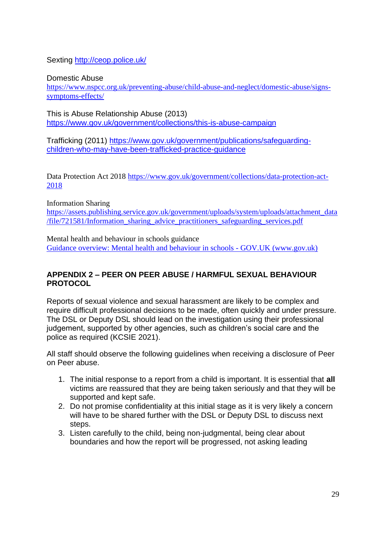Sexting<http://ceop.police.uk/>

Domestic Abuse

[https://www.nspcc.org.uk/preventing-abuse/child-abuse-and-neglect/domestic-abuse/signs](https://www.nspcc.org.uk/preventing-abuse/child-abuse-and-neglect/domestic-abuse/signs-symptoms-effects/)[symptoms-effects/](https://www.nspcc.org.uk/preventing-abuse/child-abuse-and-neglect/domestic-abuse/signs-symptoms-effects/)

This is Abuse Relationship Abuse (2013) <https://www.gov.uk/government/collections/this-is-abuse-campaign>

Trafficking (2011) [https://www.gov.uk/government/publications/safeguarding](https://www.gov.uk/government/publications/safeguarding-children-who-may-have-been-trafficked-practice-guidance)[children-who-may-have-been-trafficked-practice-guidance](https://www.gov.uk/government/publications/safeguarding-children-who-may-have-been-trafficked-practice-guidance)

Data Protection Act 2018 [https://www.gov.uk/government/collections/data-protection-act-](https://www.gov.uk/government/collections/data-protection-act-2018)[2018](https://www.gov.uk/government/collections/data-protection-act-2018)

Information Sharing [https://assets.publishing.service.gov.uk/government/uploads/system/uploads/attachment\\_data](https://assets.publishing.service.gov.uk/government/uploads/system/uploads/attachment_data/file/721581/Information_sharing_advice_practitioners_safeguarding_services.pdf) [/file/721581/Information\\_sharing\\_advice\\_practitioners\\_safeguarding\\_services.pdf](https://assets.publishing.service.gov.uk/government/uploads/system/uploads/attachment_data/file/721581/Information_sharing_advice_practitioners_safeguarding_services.pdf)

Mental health and behaviour in schools guidance [Guidance overview: Mental health and behaviour in schools -](https://www.gov.uk/government/publications/mental-health-and-behaviour-in-schools--2) GOV.UK (www.gov.uk)

## **APPENDIX 2 – PEER ON PEER ABUSE / HARMFUL SEXUAL BEHAVIOUR PROTOCOL**

Reports of sexual violence and sexual harassment are likely to be complex and require difficult professional decisions to be made, often quickly and under pressure. The DSL or Deputy DSL should lead on the investigation using their professional judgement, supported by other agencies, such as children's social care and the police as required (KCSIE 2021).

All staff should observe the following guidelines when receiving a disclosure of Peer on Peer abuse.

- 1. The initial response to a report from a child is important. It is essential that **all**  victims are reassured that they are being taken seriously and that they will be supported and kept safe.
- 2. Do not promise confidentiality at this initial stage as it is very likely a concern will have to be shared further with the DSL or Deputy DSL to discuss next steps.
- 3. Listen carefully to the child, being non-judgmental, being clear about boundaries and how the report will be progressed, not asking leading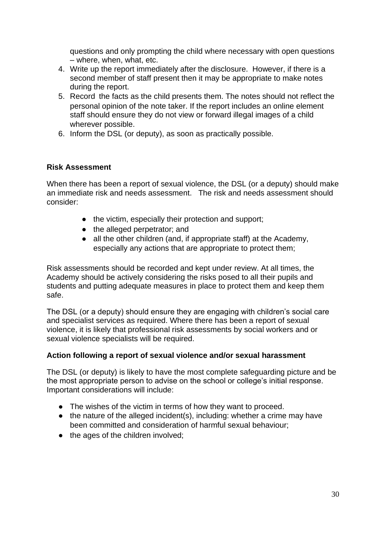questions and only prompting the child where necessary with open questions – where, when, what, etc.

- 4. Write up the report immediately after the disclosure. However, if there is a second member of staff present then it may be appropriate to make notes during the report.
- 5. Record the facts as the child presents them. The notes should not reflect the personal opinion of the note taker. If the report includes an online element staff should ensure they do not view or forward illegal images of a child wherever possible.
- 6. Inform the DSL (or deputy), as soon as practically possible.

#### **Risk Assessment**

When there has been a report of sexual violence, the DSL (or a deputy) should make an immediate risk and needs assessment. The risk and needs assessment should consider:

- the victim, especially their protection and support;
- the alleged perpetrator; and
- all the other children (and, if appropriate staff) at the Academy, especially any actions that are appropriate to protect them;

Risk assessments should be recorded and kept under review. At all times, the Academy should be actively considering the risks posed to all their pupils and students and putting adequate measures in place to protect them and keep them safe.

The DSL (or a deputy) should ensure they are engaging with children's social care and specialist services as required. Where there has been a report of sexual violence, it is likely that professional risk assessments by social workers and or sexual violence specialists will be required.

#### **Action following a report of sexual violence and/or sexual harassment**

The DSL (or deputy) is likely to have the most complete safeguarding picture and be the most appropriate person to advise on the school or college's initial response. Important considerations will include:

- The wishes of the victim in terms of how they want to proceed.
- $\bullet$  the nature of the alleged incident(s), including: whether a crime may have been committed and consideration of harmful sexual behaviour;
- the ages of the children involved;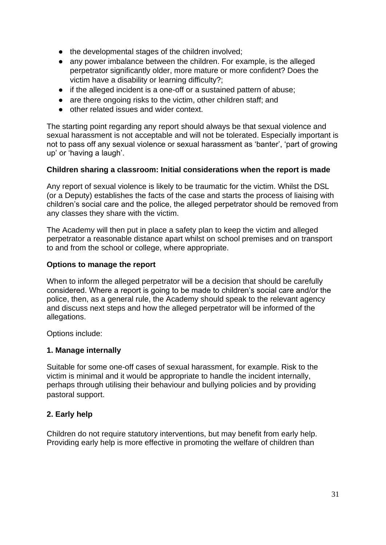- the developmental stages of the children involved;
- any power imbalance between the children. For example, is the alleged perpetrator significantly older, more mature or more confident? Does the victim have a disability or learning difficulty?;
- if the alleged incident is a one-off or a sustained pattern of abuse;
- are there ongoing risks to the victim, other children staff; and
- other related issues and wider context.

The starting point regarding any report should always be that sexual violence and sexual harassment is not acceptable and will not be tolerated. Especially important is not to pass off any sexual violence or sexual harassment as 'banter', 'part of growing up' or 'having a laugh'.

#### **Children sharing a classroom: Initial considerations when the report is made**

Any report of sexual violence is likely to be traumatic for the victim. Whilst the DSL (or a Deputy) establishes the facts of the case and starts the process of liaising with children's social care and the police, the alleged perpetrator should be removed from any classes they share with the victim.

The Academy will then put in place a safety plan to keep the victim and alleged perpetrator a reasonable distance apart whilst on school premises and on transport to and from the school or college, where appropriate.

#### **Options to manage the report**

When to inform the alleged perpetrator will be a decision that should be carefully considered. Where a report is going to be made to children's social care and/or the police, then, as a general rule, the Academy should speak to the relevant agency and discuss next steps and how the alleged perpetrator will be informed of the allegations.

Options include:

#### **1. Manage internally**

Suitable for some one-off cases of sexual harassment, for example. Risk to the victim is minimal and it would be appropriate to handle the incident internally, perhaps through utilising their behaviour and bullying policies and by providing pastoral support.

#### **2. Early help**

Children do not require statutory interventions, but may benefit from early help. Providing early help is more effective in promoting the welfare of children than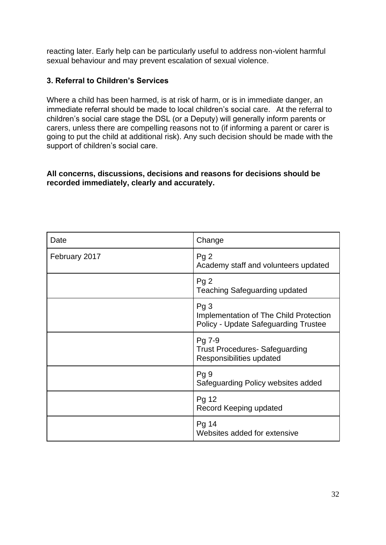reacting later. Early help can be particularly useful to address non-violent harmful sexual behaviour and may prevent escalation of sexual violence.

## **3. Referral to Children's Services**

Where a child has been harmed, is at risk of harm, or is in immediate danger, an immediate referral should be made to local children's social care. At the referral to children's social care stage the DSL (or a Deputy) will generally inform parents or carers, unless there are compelling reasons not to (if informing a parent or carer is going to put the child at additional risk). Any such decision should be made with the support of children's social care.

**All concerns, discussions, decisions and reasons for decisions should be recorded immediately, clearly and accurately.**

| Date          | Change                                                                                       |
|---------------|----------------------------------------------------------------------------------------------|
| February 2017 | Pg2<br>Academy staff and volunteers updated                                                  |
|               | Pg2<br><b>Teaching Safeguarding updated</b>                                                  |
|               | Pg3<br>Implementation of The Child Protection<br><b>Policy - Update Safeguarding Trustee</b> |
|               | Pg 7-9<br><b>Trust Procedures- Safeguarding</b><br>Responsibilities updated                  |
|               | Pg9<br>Safeguarding Policy websites added                                                    |
|               | Pg 12<br>Record Keeping updated                                                              |
|               | Pg 14<br>Websites added for extensive                                                        |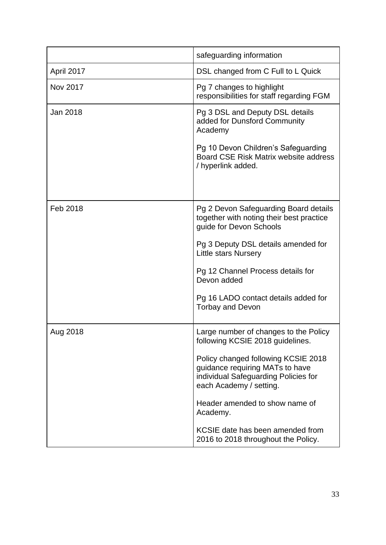|            | safeguarding information                                                                                                                  |
|------------|-------------------------------------------------------------------------------------------------------------------------------------------|
| April 2017 | DSL changed from C Full to L Quick                                                                                                        |
| Nov 2017   | Pg 7 changes to highlight<br>responsibilities for staff regarding FGM                                                                     |
| Jan 2018   | Pg 3 DSL and Deputy DSL details<br>added for Dunsford Community<br>Academy                                                                |
|            | Pg 10 Devon Children's Safeguarding<br>Board CSE Risk Matrix website address<br>/ hyperlink added.                                        |
| Feb 2018   | Pg 2 Devon Safeguarding Board details<br>together with noting their best practice<br>guide for Devon Schools                              |
|            | Pg 3 Deputy DSL details amended for<br>Little stars Nursery                                                                               |
|            | Pg 12 Channel Process details for<br>Devon added                                                                                          |
|            | Pg 16 LADO contact details added for<br><b>Torbay and Devon</b>                                                                           |
| Aug 2018   | Large number of changes to the Policy<br>following KCSIE 2018 guidelines.                                                                 |
|            | Policy changed following KCSIE 2018<br>guidance requiring MATs to have<br>individual Safeguarding Policies for<br>each Academy / setting. |
|            | Header amended to show name of<br>Academy.                                                                                                |
|            | KCSIE date has been amended from<br>2016 to 2018 throughout the Policy.                                                                   |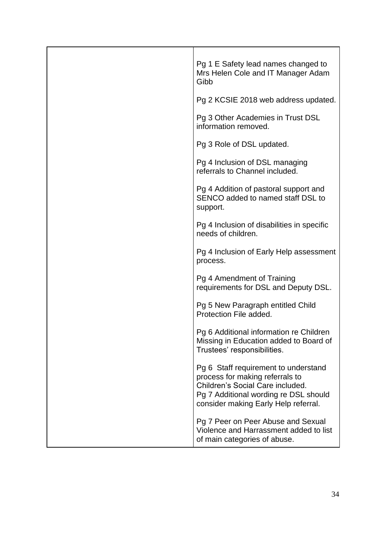| Pg 1 E Safety lead names changed to<br>Mrs Helen Cole and IT Manager Adam<br>Gibb                                                                                                            |
|----------------------------------------------------------------------------------------------------------------------------------------------------------------------------------------------|
| Pg 2 KCSIE 2018 web address updated.                                                                                                                                                         |
| Pg 3 Other Academies in Trust DSL<br>information removed.                                                                                                                                    |
| Pg 3 Role of DSL updated.                                                                                                                                                                    |
| Pg 4 Inclusion of DSL managing<br>referrals to Channel included.                                                                                                                             |
| Pg 4 Addition of pastoral support and<br>SENCO added to named staff DSL to<br>support.                                                                                                       |
| Pg 4 Inclusion of disabilities in specific<br>needs of children.                                                                                                                             |
| Pg 4 Inclusion of Early Help assessment<br>process.                                                                                                                                          |
| Pg 4 Amendment of Training<br>requirements for DSL and Deputy DSL.                                                                                                                           |
| Pg 5 New Paragraph entitled Child<br>Protection File added.                                                                                                                                  |
| Pg 6 Additional information re Children<br>Missing in Education added to Board of<br>Trustees' responsibilities.                                                                             |
| Pg 6 Staff requirement to understand<br>process for making referrals to<br>Children's Social Care included.<br>Pg 7 Additional wording re DSL should<br>consider making Early Help referral. |
| Pg 7 Peer on Peer Abuse and Sexual<br>Violence and Harrassment added to list<br>of main categories of abuse.                                                                                 |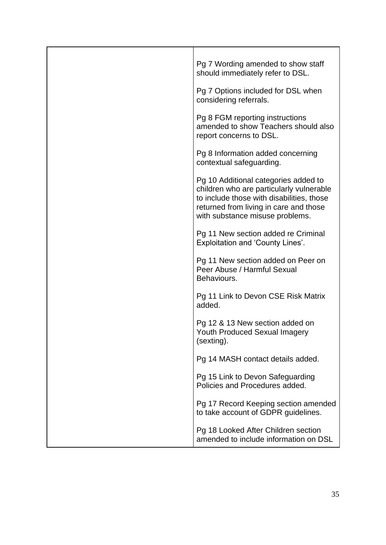| Pg 7 Wording amended to show staff<br>should immediately refer to DSL.                                                                                                                                     |
|------------------------------------------------------------------------------------------------------------------------------------------------------------------------------------------------------------|
| Pg 7 Options included for DSL when<br>considering referrals.                                                                                                                                               |
| Pg 8 FGM reporting instructions<br>amended to show Teachers should also<br>report concerns to DSL.                                                                                                         |
| Pg 8 Information added concerning<br>contextual safeguarding.                                                                                                                                              |
| Pg 10 Additional categories added to<br>children who are particularly vulnerable<br>to include those with disabilities, those<br>returned from living in care and those<br>with substance misuse problems. |
| Pg 11 New section added re Criminal<br><b>Exploitation and 'County Lines'.</b>                                                                                                                             |
| Pg 11 New section added on Peer on<br>Peer Abuse / Harmful Sexual<br>Behaviours.                                                                                                                           |
| Pg 11 Link to Devon CSE Risk Matrix<br>added.                                                                                                                                                              |
| Pg 12 & 13 New section added on<br><b>Youth Produced Sexual Imagery</b><br>(sexting).                                                                                                                      |
| Pg 14 MASH contact details added.                                                                                                                                                                          |
| Pg 15 Link to Devon Safeguarding<br>Policies and Procedures added.                                                                                                                                         |
| Pg 17 Record Keeping section amended<br>to take account of GDPR guidelines.                                                                                                                                |
| Pg 18 Looked After Children section<br>amended to include information on DSL                                                                                                                               |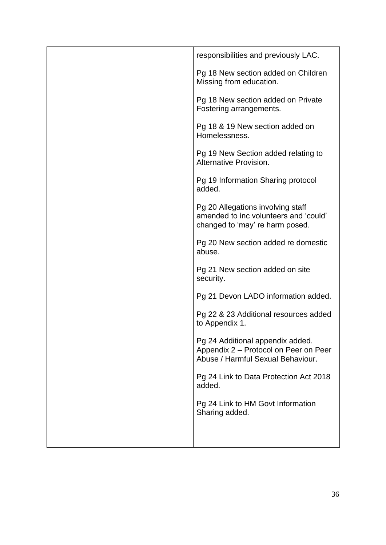| responsibilities and previously LAC.                                                                           |
|----------------------------------------------------------------------------------------------------------------|
| Pg 18 New section added on Children<br>Missing from education.                                                 |
| Pg 18 New section added on Private<br>Fostering arrangements.                                                  |
| Pg 18 & 19 New section added on<br>Homelessness.                                                               |
| Pg 19 New Section added relating to<br>Alternative Provision.                                                  |
| Pg 19 Information Sharing protocol<br>added.                                                                   |
| Pg 20 Allegations involving staff<br>amended to inc volunteers and 'could'<br>changed to 'may' re harm posed.  |
| Pg 20 New section added re domestic<br>abuse.                                                                  |
| Pg 21 New section added on site<br>security.                                                                   |
| Pg 21 Devon LADO information added.                                                                            |
| Pg 22 & 23 Additional resources added<br>to Appendix 1.                                                        |
| Pg 24 Additional appendix added.<br>Appendix 2 - Protocol on Peer on Peer<br>Abuse / Harmful Sexual Behaviour. |
| Pg 24 Link to Data Protection Act 2018<br>added.                                                               |
| Pg 24 Link to HM Govt Information<br>Sharing added.                                                            |
|                                                                                                                |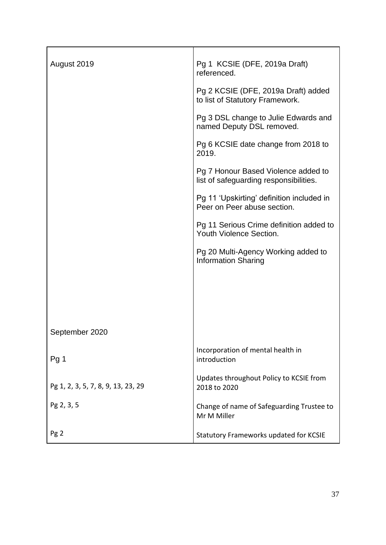| August 2019                        | Pg 1 KCSIE (DFE, 2019a Draft)<br>referenced.                                  |
|------------------------------------|-------------------------------------------------------------------------------|
|                                    | Pg 2 KCSIE (DFE, 2019a Draft) added<br>to list of Statutory Framework.        |
|                                    | Pg 3 DSL change to Julie Edwards and<br>named Deputy DSL removed.             |
|                                    | Pg 6 KCSIE date change from 2018 to<br>2019.                                  |
|                                    | Pg 7 Honour Based Violence added to<br>list of safeguarding responsibilities. |
|                                    | Pg 11 'Upskirting' definition included in<br>Peer on Peer abuse section.      |
|                                    | Pg 11 Serious Crime definition added to<br>Youth Violence Section.            |
|                                    | Pg 20 Multi-Agency Working added to<br><b>Information Sharing</b>             |
|                                    |                                                                               |
|                                    |                                                                               |
| September 2020                     |                                                                               |
| Pg 1                               | Incorporation of mental health in<br>introduction                             |
| Pg 1, 2, 3, 5, 7, 8, 9, 13, 23, 29 | Updates throughout Policy to KCSIE from<br>2018 to 2020                       |
| Pg 2, 3, 5                         | Change of name of Safeguarding Trustee to<br>Mr M Miller                      |
| Pg <sub>2</sub>                    | Statutory Frameworks updated for KCSIE                                        |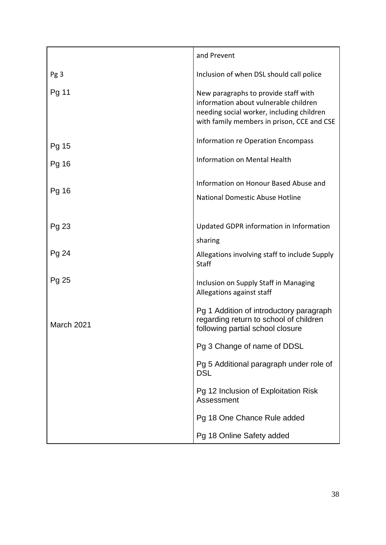|                 | and Prevent                                                                                                                                                              |
|-----------------|--------------------------------------------------------------------------------------------------------------------------------------------------------------------------|
| Pg <sub>3</sub> | Inclusion of when DSL should call police                                                                                                                                 |
| Pg 11           | New paragraphs to provide staff with<br>information about vulnerable children<br>needing social worker, including children<br>with family members in prison, CCE and CSE |
| Pg 15           | Information re Operation Encompass                                                                                                                                       |
| Pg 16           | Information on Mental Health                                                                                                                                             |
|                 | Information on Honour Based Abuse and                                                                                                                                    |
| Pg 16           | National Domestic Abuse Hotline                                                                                                                                          |
| Pg 23           | Updated GDPR information in Information                                                                                                                                  |
|                 | sharing                                                                                                                                                                  |
| Pg 24           | Allegations involving staff to include Supply<br>Staff                                                                                                                   |
| Pg 25           | Inclusion on Supply Staff in Managing<br>Allegations against staff                                                                                                       |
| March 2021      | Pg 1 Addition of introductory paragraph<br>regarding return to school of children<br>following partial school closure                                                    |
|                 | Pg 3 Change of name of DDSL                                                                                                                                              |
|                 | Pg 5 Additional paragraph under role of<br><b>DSL</b>                                                                                                                    |
|                 | Pg 12 Inclusion of Exploitation Risk<br>Assessment                                                                                                                       |
|                 | Pg 18 One Chance Rule added                                                                                                                                              |
|                 | Pg 18 Online Safety added                                                                                                                                                |